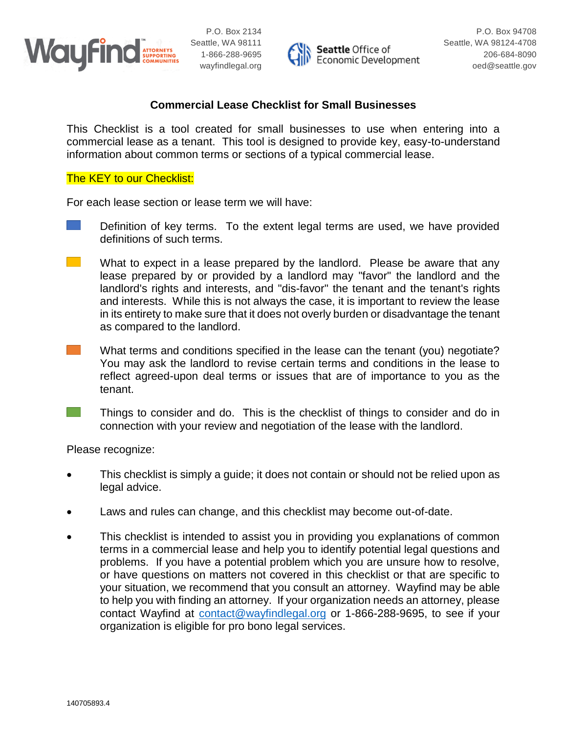



### **Commercial Lease Checklist for Small Businesses**

This Checklist is a tool created for small businesses to use when entering into a commercial lease as a tenant. This tool is designed to provide key, easy-to-understand information about common terms or sections of a typical commercial lease.

#### The **KEY** to our Checklist:

For each lease section or lease term we will have:

- Definition of key terms. To the extent legal terms are used, we have provided definitions of such terms.
- $\sim 100$ What to expect in a lease prepared by the landlord. Please be aware that any lease prepared by or provided by a landlord may "favor" the landlord and the landlord's rights and interests, and "dis-favor" the tenant and the tenant's rights and interests. While this is not always the case, it is important to review the lease in its entirety to make sure that it does not overly burden or disadvantage the tenant as compared to the landlord.
- $\mathcal{L}^{\text{max}}_{\text{max}}$ What terms and conditions specified in the lease can the tenant (you) negotiate? You may ask the landlord to revise certain terms and conditions in the lease to reflect agreed-upon deal terms or issues that are of importance to you as the tenant.
- **The Co**

Things to consider and do. This is the checklist of things to consider and do in connection with your review and negotiation of the lease with the landlord.

Please recognize:

- This checklist is simply a guide; it does not contain or should not be relied upon as legal advice.
- Laws and rules can change, and this checklist may become out-of-date.
- This checklist is intended to assist you in providing you explanations of common terms in a commercial lease and help you to identify potential legal questions and problems. If you have a potential problem which you are unsure how to resolve, or have questions on matters not covered in this checklist or that are specific to your situation, we recommend that you consult an attorney. Wayfind may be able to help you with finding an attorney. If your organization needs an attorney, please contact Wayfind at [contact@wayfindlegal.org](mailto:contact@wayfindlegal.org) or 1-866-288-9695, to see if your organization is eligible for pro bono legal services.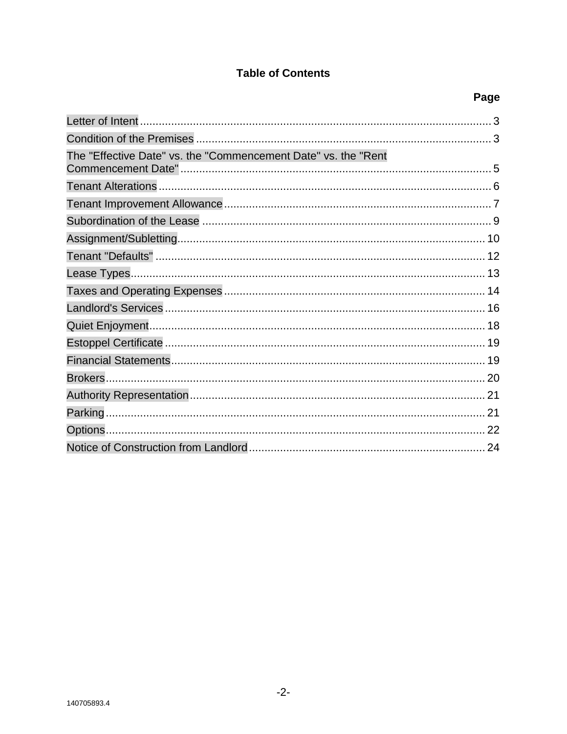## **Table of Contents**

| The "Effective Date" vs. the "Commencement Date" vs. the "Rent |  |
|----------------------------------------------------------------|--|
|                                                                |  |
|                                                                |  |
|                                                                |  |
|                                                                |  |
|                                                                |  |
|                                                                |  |
|                                                                |  |
|                                                                |  |
|                                                                |  |
|                                                                |  |
|                                                                |  |
|                                                                |  |
|                                                                |  |
|                                                                |  |
|                                                                |  |
|                                                                |  |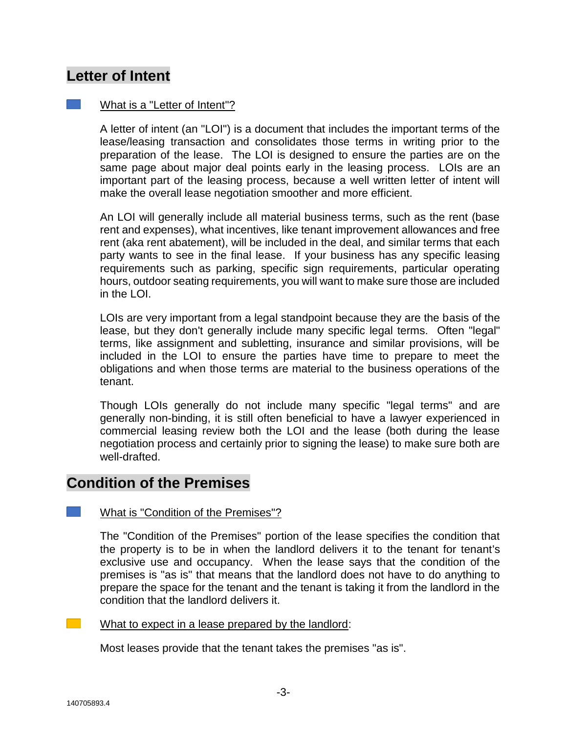# **Letter of Intent**

#### What is a "Letter of Intent"?

A letter of intent (an "LOI") is a document that includes the important terms of the lease/leasing transaction and consolidates those terms in writing prior to the preparation of the lease. The LOI is designed to ensure the parties are on the same page about major deal points early in the leasing process. LOIs are an important part of the leasing process, because a well written letter of intent will make the overall lease negotiation smoother and more efficient.

An LOI will generally include all material business terms, such as the rent (base rent and expenses), what incentives, like tenant improvement allowances and free rent (aka rent abatement), will be included in the deal, and similar terms that each party wants to see in the final lease. If your business has any specific leasing requirements such as parking, specific sign requirements, particular operating hours, outdoor seating requirements, you will want to make sure those are included in the LOI.

LOIs are very important from a legal standpoint because they are the basis of the lease, but they don't generally include many specific legal terms. Often "legal" terms, like assignment and subletting, insurance and similar provisions, will be included in the LOI to ensure the parties have time to prepare to meet the obligations and when those terms are material to the business operations of the tenant.

Though LOIs generally do not include many specific "legal terms" and are generally non-binding, it is still often beneficial to have a lawyer experienced in commercial leasing review both the LOI and the lease (both during the lease negotiation process and certainly prior to signing the lease) to make sure both are well-drafted.

# **Condition of the Premises**

#### What is "Condition of the Premises"?

The "Condition of the Premises" portion of the lease specifies the condition that the property is to be in when the landlord delivers it to the tenant for tenant's exclusive use and occupancy. When the lease says that the condition of the premises is "as is" that means that the landlord does not have to do anything to prepare the space for the tenant and the tenant is taking it from the landlord in the condition that the landlord delivers it.

What to expect in a lease prepared by the landlord:

Most leases provide that the tenant takes the premises "as is".

 $\sim 100$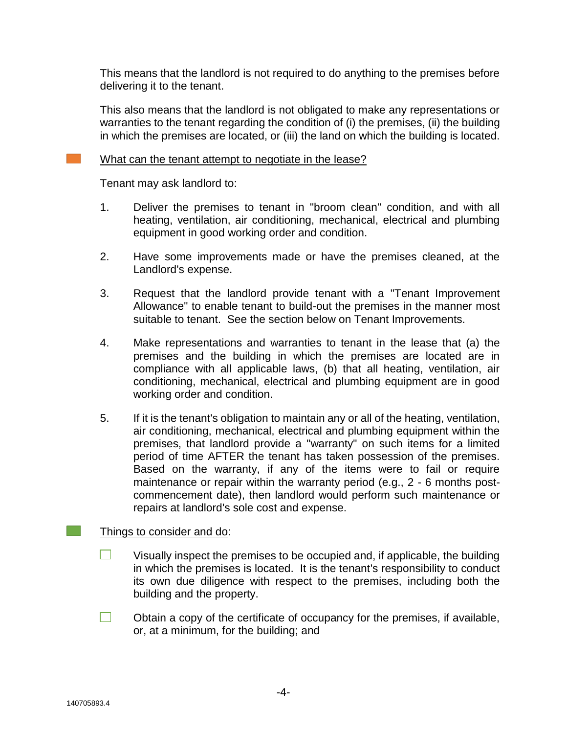This means that the landlord is not required to do anything to the premises before delivering it to the tenant.

This also means that the landlord is not obligated to make any representations or warranties to the tenant regarding the condition of (i) the premises, (ii) the building in which the premises are located, or (iii) the land on which the building is located.

#### What can the tenant attempt to negotiate in the lease?

Tenant may ask landlord to:

- 1. Deliver the premises to tenant in "broom clean" condition, and with all heating, ventilation, air conditioning, mechanical, electrical and plumbing equipment in good working order and condition.
- 2. Have some improvements made or have the premises cleaned, at the Landlord's expense.
- 3. Request that the landlord provide tenant with a "Tenant Improvement Allowance" to enable tenant to build-out the premises in the manner most suitable to tenant. See the section below on Tenant Improvements.
- 4. Make representations and warranties to tenant in the lease that (a) the premises and the building in which the premises are located are in compliance with all applicable laws, (b) that all heating, ventilation, air conditioning, mechanical, electrical and plumbing equipment are in good working order and condition.
- 5. If it is the tenant's obligation to maintain any or all of the heating, ventilation, air conditioning, mechanical, electrical and plumbing equipment within the premises, that landlord provide a "warranty" on such items for a limited period of time AFTER the tenant has taken possession of the premises. Based on the warranty, if any of the items were to fail or require maintenance or repair within the warranty period (e.g., 2 - 6 months postcommencement date), then landlord would perform such maintenance or repairs at landlord's sole cost and expense.

#### Things to consider and do:

- $\Box$ Visually inspect the premises to be occupied and, if applicable, the building in which the premises is located. It is the tenant's responsibility to conduct its own due diligence with respect to the premises, including both the building and the property.
- $\Box$ Obtain a copy of the certificate of occupancy for the premises, if available, or, at a minimum, for the building; and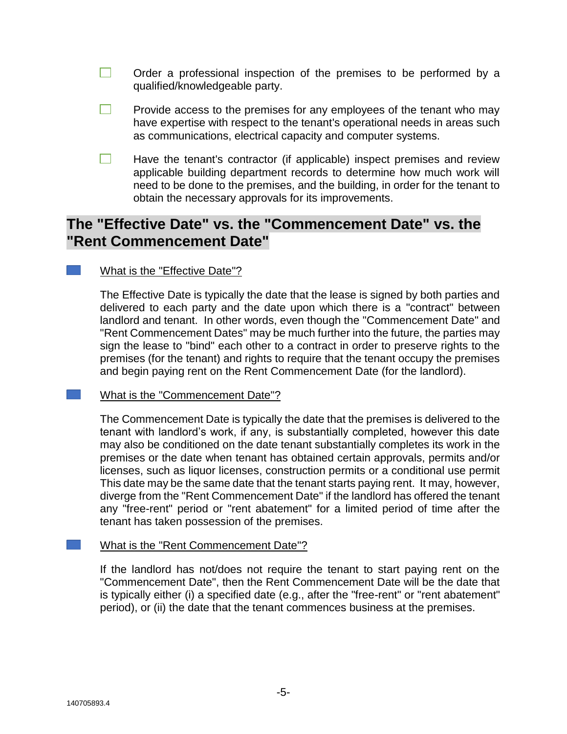$\Box$ Order a professional inspection of the premises to be performed by a qualified/knowledgeable party.

- **College** Provide access to the premises for any employees of the tenant who may have expertise with respect to the tenant's operational needs in areas such as communications, electrical capacity and computer systems.
- $\Box$ Have the tenant's contractor (if applicable) inspect premises and review applicable building department records to determine how much work will need to be done to the premises, and the building, in order for the tenant to obtain the necessary approvals for its improvements.

# **The "Effective Date" vs. the "Commencement Date" vs. the "Rent Commencement Date"**

### What is the "Effective Date"?

The Effective Date is typically the date that the lease is signed by both parties and delivered to each party and the date upon which there is a "contract" between landlord and tenant. In other words, even though the "Commencement Date" and "Rent Commencement Dates" may be much further into the future, the parties may sign the lease to "bind" each other to a contract in order to preserve rights to the premises (for the tenant) and rights to require that the tenant occupy the premises and begin paying rent on the Rent Commencement Date (for the landlord).

#### What is the "Commencement Date"?

The Commencement Date is typically the date that the premises is delivered to the tenant with landlord's work, if any, is substantially completed, however this date may also be conditioned on the date tenant substantially completes its work in the premises or the date when tenant has obtained certain approvals, permits and/or licenses, such as liquor licenses, construction permits or a conditional use permit This date may be the same date that the tenant starts paying rent. It may, however, diverge from the "Rent Commencement Date" if the landlord has offered the tenant any "free-rent" period or "rent abatement" for a limited period of time after the tenant has taken possession of the premises.

#### What is the "Rent Commencement Date"?

If the landlord has not/does not require the tenant to start paying rent on the "Commencement Date", then the Rent Commencement Date will be the date that is typically either (i) a specified date (e.g., after the "free-rent" or "rent abatement" period), or (ii) the date that the tenant commences business at the premises.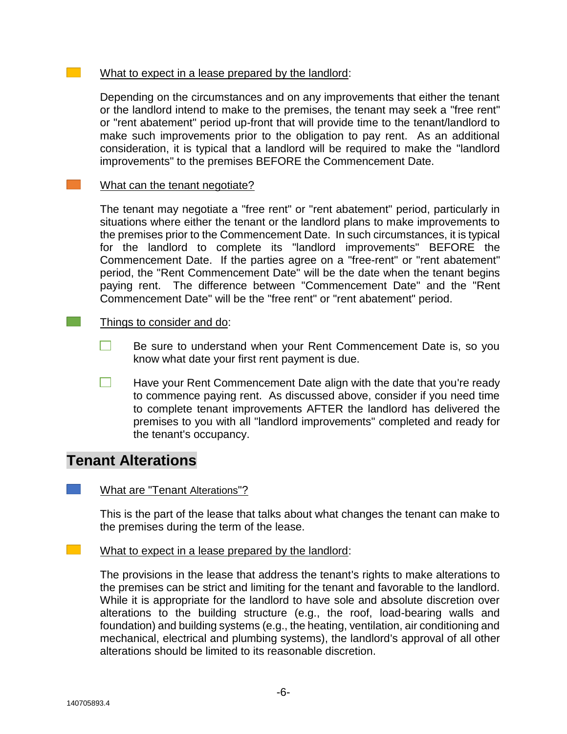#### What to expect in a lease prepared by the landlord:

Depending on the circumstances and on any improvements that either the tenant or the landlord intend to make to the premises, the tenant may seek a "free rent" or "rent abatement" period up-front that will provide time to the tenant/landlord to make such improvements prior to the obligation to pay rent. As an additional consideration, it is typical that a landlord will be required to make the "landlord improvements" to the premises BEFORE the Commencement Date.

#### $\mathcal{L}^{\text{max}}$ What can the tenant negotiate?

The tenant may negotiate a "free rent" or "rent abatement" period, particularly in situations where either the tenant or the landlord plans to make improvements to the premises prior to the Commencement Date. In such circumstances, it is typical for the landlord to complete its "landlord improvements" BEFORE the Commencement Date. If the parties agree on a "free-rent" or "rent abatement" period, the "Rent Commencement Date" will be the date when the tenant begins paying rent. The difference between "Commencement Date" and the "Rent Commencement Date" will be the "free rent" or "rent abatement" period.

#### Things to consider and do:

 $\mathcal{L}^{\text{max}}$ 

- $\Box$ Be sure to understand when your Rent Commencement Date is, so you know what date your first rent payment is due.
- $\Box$ Have your Rent Commencement Date align with the date that you're ready to commence paying rent. As discussed above, consider if you need time to complete tenant improvements AFTER the landlord has delivered the premises to you with all "landlord improvements" completed and ready for the tenant's occupancy.

## **Tenant Alterations**

#### What are "Tenant Alterations"?

This is the part of the lease that talks about what changes the tenant can make to the premises during the term of the lease.

#### What to expect in a lease prepared by the landlord:

The provisions in the lease that address the tenant's rights to make alterations to the premises can be strict and limiting for the tenant and favorable to the landlord. While it is appropriate for the landlord to have sole and absolute discretion over alterations to the building structure (e.g., the roof, load-bearing walls and foundation) and building systems (e.g., the heating, ventilation, air conditioning and mechanical, electrical and plumbing systems), the landlord's approval of all other alterations should be limited to its reasonable discretion.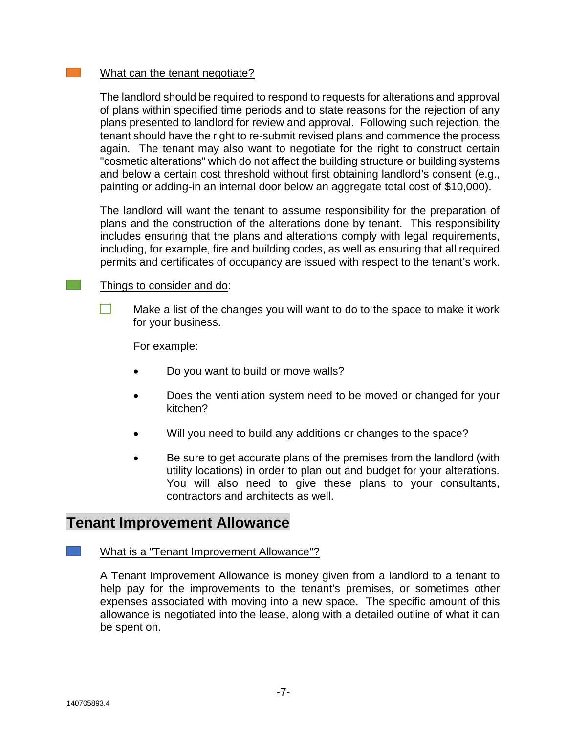#### What can the tenant negotiate?

The landlord should be required to respond to requests for alterations and approval of plans within specified time periods and to state reasons for the rejection of any plans presented to landlord for review and approval. Following such rejection, the tenant should have the right to re-submit revised plans and commence the process again. The tenant may also want to negotiate for the right to construct certain "cosmetic alterations" which do not affect the building structure or building systems and below a certain cost threshold without first obtaining landlord's consent (e.g., painting or adding-in an internal door below an aggregate total cost of \$10,000).

The landlord will want the tenant to assume responsibility for the preparation of plans and the construction of the alterations done by tenant. This responsibility includes ensuring that the plans and alterations comply with legal requirements, including, for example, fire and building codes, as well as ensuring that all required permits and certificates of occupancy are issued with respect to the tenant's work.

#### Things to consider and do:

 $\mathcal{L}^{\text{max}}$ 

Make a list of the changes you will want to do to the space to make it work for your business.

For example:

- Do you want to build or move walls?
- Does the ventilation system need to be moved or changed for your kitchen?
- Will you need to build any additions or changes to the space?
- Be sure to get accurate plans of the premises from the landlord (with utility locations) in order to plan out and budget for your alterations. You will also need to give these plans to your consultants, contractors and architects as well.

## **Tenant Improvement Allowance**

#### What is a "Tenant Improvement Allowance"?

A Tenant Improvement Allowance is money given from a landlord to a tenant to help pay for the improvements to the tenant's premises, or sometimes other expenses associated with moving into a new space. The specific amount of this allowance is negotiated into the lease, along with a detailed outline of what it can be spent on.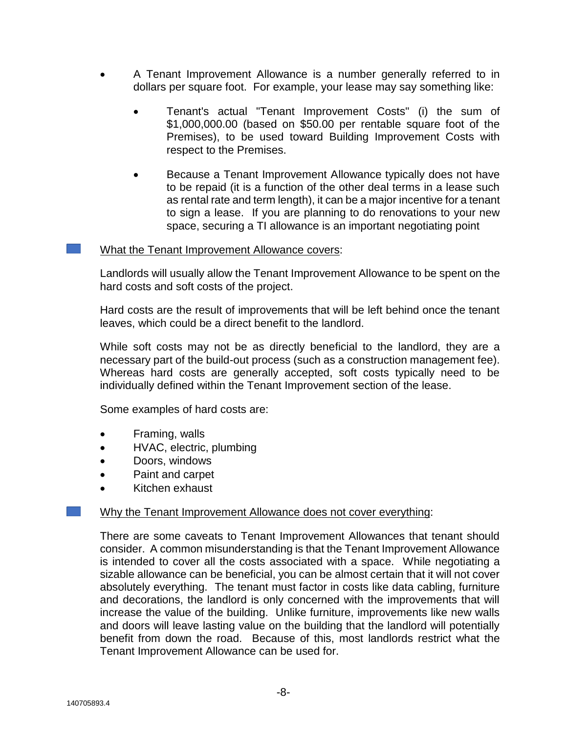- A Tenant Improvement Allowance is a number generally referred to in dollars per square foot. For example, your lease may say something like:
	- Tenant's actual "Tenant Improvement Costs" (i) the sum of \$1,000,000.00 (based on \$50.00 per rentable square foot of the Premises), to be used toward Building Improvement Costs with respect to the Premises.
	- Because a Tenant Improvement Allowance typically does not have to be repaid (it is a function of the other deal terms in a lease such as rental rate and term length), it can be a major incentive for a tenant to sign a lease. If you are planning to do renovations to your new space, securing a TI allowance is an important negotiating point

#### What the Tenant Improvement Allowance covers:

Landlords will usually allow the Tenant Improvement Allowance to be spent on the hard costs and soft costs of the project.

Hard costs are the result of improvements that will be left behind once the tenant leaves, which could be a direct benefit to the landlord.

While soft costs may not be as directly beneficial to the landlord, they are a necessary part of the build-out process (such as a construction management fee). Whereas hard costs are generally accepted, soft costs typically need to be individually defined within the Tenant Improvement section of the lease.

Some examples of hard costs are:

- Framing, walls
- HVAC, electric, plumbing
- Doors, windows
- Paint and carpet
- Kitchen exhaust

#### Why the Tenant Improvement Allowance does not cover everything:

There are some caveats to Tenant Improvement Allowances that tenant should consider. A common misunderstanding is that the Tenant Improvement Allowance is intended to cover all the costs associated with a space. While negotiating a sizable allowance can be beneficial, you can be almost certain that it will not cover absolutely everything. The tenant must factor in costs like data cabling, furniture and decorations, the landlord is only concerned with the improvements that will increase the value of the building. Unlike furniture, improvements like new walls and doors will leave lasting value on the building that the landlord will potentially benefit from down the road. Because of this, most landlords restrict what the Tenant Improvement Allowance can be used for.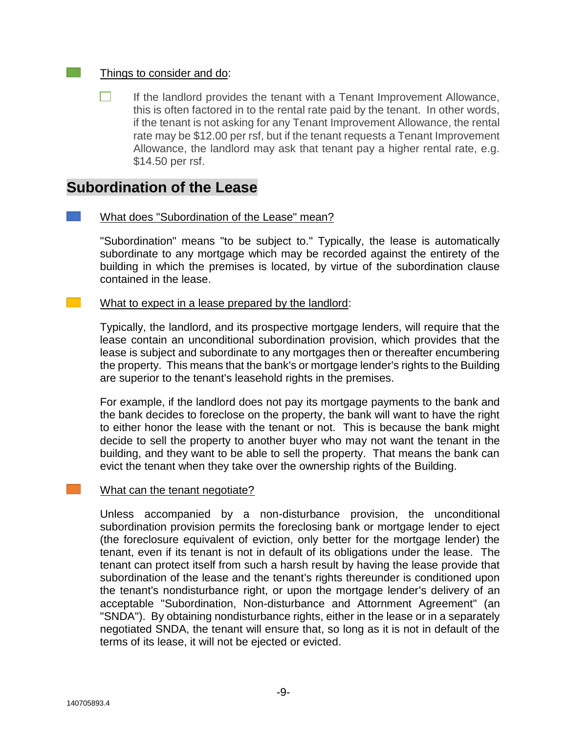#### Things to consider and do:

 $\sim$ 

 $\mathcal{L}^{\text{max}}_{\text{max}}$ 

 $\Box$ If the landlord provides the tenant with a Tenant Improvement Allowance, this is often factored in to the rental rate paid by the tenant. In other words, if the tenant is not asking for any Tenant Improvement Allowance, the rental rate may be \$12.00 per rsf, but if the tenant requests a Tenant Improvement Allowance, the landlord may ask that tenant pay a higher rental rate, e.g. \$14.50 per rsf.

## **Subordination of the Lease**

#### What does "Subordination of the Lease" mean?

"Subordination" means "to be subject to." Typically, the lease is automatically subordinate to any mortgage which may be recorded against the entirety of the building in which the premises is located, by virtue of the subordination clause contained in the lease.

#### What to expect in a lease prepared by the landlord:

Typically, the landlord, and its prospective mortgage lenders, will require that the lease contain an unconditional subordination provision, which provides that the lease is subject and subordinate to any mortgages then or thereafter encumbering the property. This means that the bank's or mortgage lender's rights to the Building are superior to the tenant's leasehold rights in the premises.

For example, if the landlord does not pay its mortgage payments to the bank and the bank decides to foreclose on the property, the bank will want to have the right to either honor the lease with the tenant or not. This is because the bank might decide to sell the property to another buyer who may not want the tenant in the building, and they want to be able to sell the property. That means the bank can evict the tenant when they take over the ownership rights of the Building.

#### What can the tenant negotiate?

Unless accompanied by a non-disturbance provision, the unconditional subordination provision permits the foreclosing bank or mortgage lender to eject (the foreclosure equivalent of eviction, only better for the mortgage lender) the tenant, even if its tenant is not in default of its obligations under the lease. The tenant can protect itself from such a harsh result by having the lease provide that subordination of the lease and the tenant's rights thereunder is conditioned upon the tenant's nondisturbance right, or upon the mortgage lender's delivery of an acceptable "Subordination, Non-disturbance and Attornment Agreement" (an "SNDA"). By obtaining nondisturbance rights, either in the lease or in a separately negotiated SNDA, the tenant will ensure that, so long as it is not in default of the terms of its lease, it will not be ejected or evicted.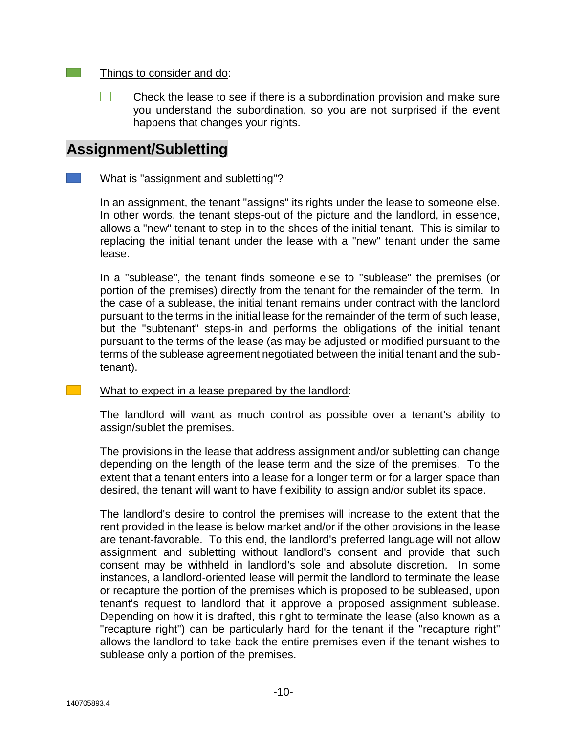#### Things to consider and do:

 $\Box$ Check the lease to see if there is a subordination provision and make sure you understand the subordination, so you are not surprised if the event happens that changes your rights.

# **Assignment/Subletting**

#### What is "assignment and subletting"?

In an assignment, the tenant "assigns" its rights under the lease to someone else. In other words, the tenant steps-out of the picture and the landlord, in essence, allows a "new" tenant to step-in to the shoes of the initial tenant. This is similar to replacing the initial tenant under the lease with a "new" tenant under the same lease.

In a "sublease", the tenant finds someone else to "sublease" the premises (or portion of the premises) directly from the tenant for the remainder of the term. In the case of a sublease, the initial tenant remains under contract with the landlord pursuant to the terms in the initial lease for the remainder of the term of such lease, but the "subtenant" steps-in and performs the obligations of the initial tenant pursuant to the terms of the lease (as may be adjusted or modified pursuant to the terms of the sublease agreement negotiated between the initial tenant and the subtenant).

#### What to expect in a lease prepared by the landlord:

The landlord will want as much control as possible over a tenant's ability to assign/sublet the premises.

The provisions in the lease that address assignment and/or subletting can change depending on the length of the lease term and the size of the premises. To the extent that a tenant enters into a lease for a longer term or for a larger space than desired, the tenant will want to have flexibility to assign and/or sublet its space.

The landlord's desire to control the premises will increase to the extent that the rent provided in the lease is below market and/or if the other provisions in the lease are tenant-favorable. To this end, the landlord's preferred language will not allow assignment and subletting without landlord's consent and provide that such consent may be withheld in landlord's sole and absolute discretion. In some instances, a landlord-oriented lease will permit the landlord to terminate the lease or recapture the portion of the premises which is proposed to be subleased, upon tenant's request to landlord that it approve a proposed assignment sublease. Depending on how it is drafted, this right to terminate the lease (also known as a "recapture right") can be particularly hard for the tenant if the "recapture right" allows the landlord to take back the entire premises even if the tenant wishes to sublease only a portion of the premises.

 $\mathcal{L}^{\text{max}}_{\text{max}}$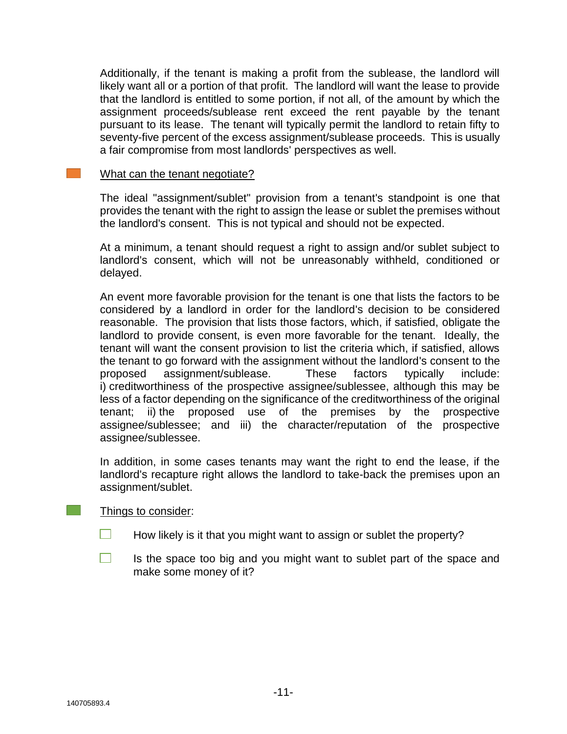Additionally, if the tenant is making a profit from the sublease, the landlord will likely want all or a portion of that profit. The landlord will want the lease to provide that the landlord is entitled to some portion, if not all, of the amount by which the assignment proceeds/sublease rent exceed the rent payable by the tenant pursuant to its lease. The tenant will typically permit the landlord to retain fifty to seventy-five percent of the excess assignment/sublease proceeds. This is usually a fair compromise from most landlords' perspectives as well.

#### What can the tenant negotiate?

 $\sim 100$ 

The ideal "assignment/sublet" provision from a tenant's standpoint is one that provides the tenant with the right to assign the lease or sublet the premises without the landlord's consent. This is not typical and should not be expected.

At a minimum, a tenant should request a right to assign and/or sublet subject to landlord's consent, which will not be unreasonably withheld, conditioned or delayed.

An event more favorable provision for the tenant is one that lists the factors to be considered by a landlord in order for the landlord's decision to be considered reasonable. The provision that lists those factors, which, if satisfied, obligate the landlord to provide consent, is even more favorable for the tenant. Ideally, the tenant will want the consent provision to list the criteria which, if satisfied, allows the tenant to go forward with the assignment without the landlord's consent to the proposed assignment/sublease. These factors typically include: i) creditworthiness of the prospective assignee/sublessee, although this may be less of a factor depending on the significance of the creditworthiness of the original tenant; ii) the proposed use of the premises by the prospective assignee/sublessee; and iii) the character/reputation of the prospective assignee/sublessee.

In addition, in some cases tenants may want the right to end the lease, if the landlord's recapture right allows the landlord to take-back the premises upon an assignment/sublet.

#### Things to consider:

- $\Box$ How likely is it that you might want to assign or sublet the property?
- $\Box$ Is the space too big and you might want to sublet part of the space and make some money of it?

 $\mathcal{L}_{\mathcal{A}}$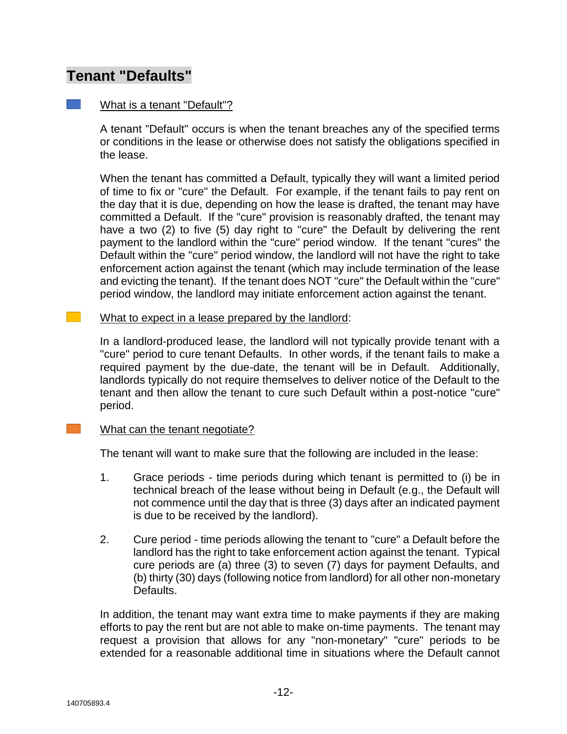# **Tenant "Defaults"**

### What is a tenant "Default"?

A tenant "Default" occurs is when the tenant breaches any of the specified terms or conditions in the lease or otherwise does not satisfy the obligations specified in the lease.

When the tenant has committed a Default, typically they will want a limited period of time to fix or "cure" the Default. For example, if the tenant fails to pay rent on the day that it is due, depending on how the lease is drafted, the tenant may have committed a Default. If the "cure" provision is reasonably drafted, the tenant may have a two (2) to five (5) day right to "cure" the Default by delivering the rent payment to the landlord within the "cure" period window. If the tenant "cures" the Default within the "cure" period window, the landlord will not have the right to take enforcement action against the tenant (which may include termination of the lease and evicting the tenant). If the tenant does NOT "cure" the Default within the "cure" period window, the landlord may initiate enforcement action against the tenant.

#### What to expect in a lease prepared by the landlord:

In a landlord-produced lease, the landlord will not typically provide tenant with a "cure" period to cure tenant Defaults. In other words, if the tenant fails to make a required payment by the due-date, the tenant will be in Default. Additionally, landlords typically do not require themselves to deliver notice of the Default to the tenant and then allow the tenant to cure such Default within a post-notice "cure" period.

#### What can the tenant negotiate?

The tenant will want to make sure that the following are included in the lease:

- 1. Grace periods time periods during which tenant is permitted to (i) be in technical breach of the lease without being in Default (e.g., the Default will not commence until the day that is three (3) days after an indicated payment is due to be received by the landlord).
- 2. Cure period time periods allowing the tenant to "cure" a Default before the landlord has the right to take enforcement action against the tenant. Typical cure periods are (a) three (3) to seven (7) days for payment Defaults, and (b) thirty (30) days (following notice from landlord) for all other non-monetary Defaults.

In addition, the tenant may want extra time to make payments if they are making efforts to pay the rent but are not able to make on-time payments. The tenant may request a provision that allows for any "non-monetary" "cure" periods to be extended for a reasonable additional time in situations where the Default cannot

 $\mathcal{L}_{\text{max}}$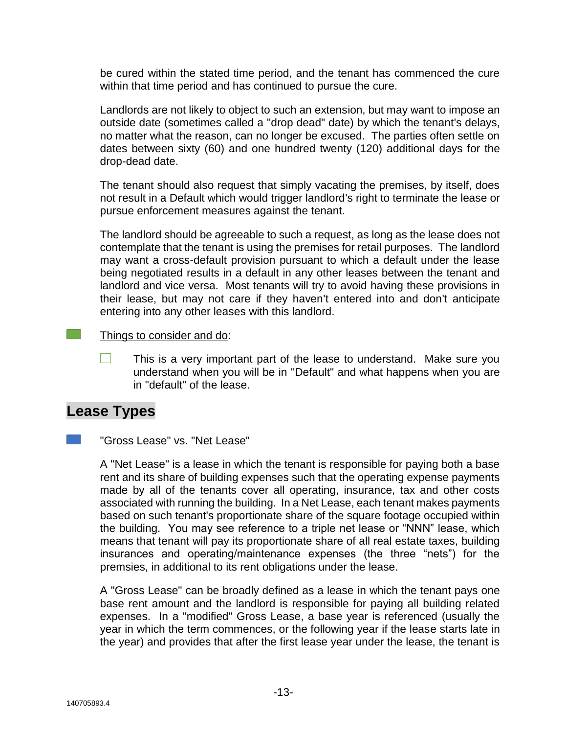be cured within the stated time period, and the tenant has commenced the cure within that time period and has continued to pursue the cure.

Landlords are not likely to object to such an extension, but may want to impose an outside date (sometimes called a "drop dead" date) by which the tenant's delays, no matter what the reason, can no longer be excused. The parties often settle on dates between sixty (60) and one hundred twenty (120) additional days for the drop-dead date.

The tenant should also request that simply vacating the premises, by itself, does not result in a Default which would trigger landlord's right to terminate the lease or pursue enforcement measures against the tenant.

The landlord should be agreeable to such a request, as long as the lease does not contemplate that the tenant is using the premises for retail purposes. The landlord may want a cross-default provision pursuant to which a default under the lease being negotiated results in a default in any other leases between the tenant and landlord and vice versa. Most tenants will try to avoid having these provisions in their lease, but may not care if they haven't entered into and don't anticipate entering into any other leases with this landlord.

#### Things to consider and do:

 $\Box$ This is a very important part of the lease to understand. Make sure you understand when you will be in "Default" and what happens when you are in "default" of the lease.

## **Lease Types**

#### "Gross Lease" vs. "Net Lease"

A "Net Lease" is a lease in which the tenant is responsible for paying both a base rent and its share of building expenses such that the operating expense payments made by all of the tenants cover all operating, insurance, tax and other costs associated with running the building. In a Net Lease, each tenant makes payments based on such tenant's proportionate share of the square footage occupied within the building. You may see reference to a triple net lease or "NNN" lease, which means that tenant will pay its proportionate share of all real estate taxes, building insurances and operating/maintenance expenses (the three "nets") for the premsies, in additional to its rent obligations under the lease.

A "Gross Lease" can be broadly defined as a lease in which the tenant pays one base rent amount and the landlord is responsible for paying all building related expenses. In a "modified" Gross Lease, a base year is referenced (usually the year in which the term commences, or the following year if the lease starts late in the year) and provides that after the first lease year under the lease, the tenant is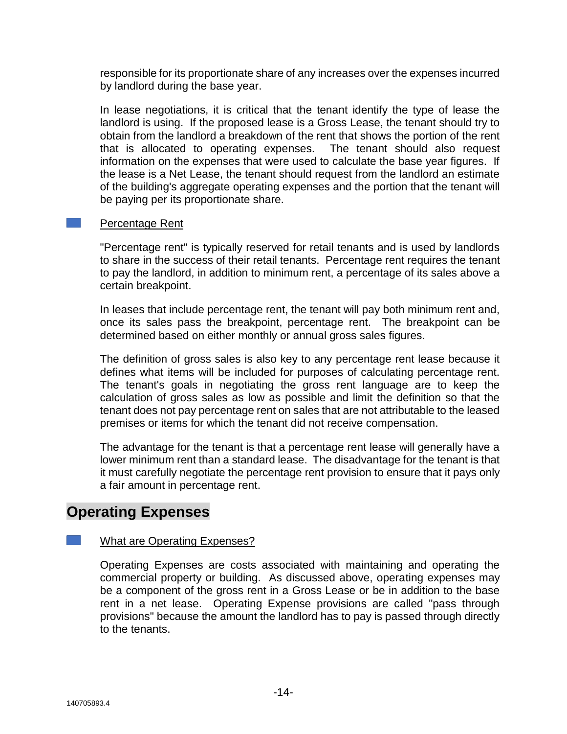responsible for its proportionate share of any increases over the expenses incurred by landlord during the base year.

In lease negotiations, it is critical that the tenant identify the type of lease the landlord is using. If the proposed lease is a Gross Lease, the tenant should try to obtain from the landlord a breakdown of the rent that shows the portion of the rent that is allocated to operating expenses. The tenant should also request information on the expenses that were used to calculate the base year figures. If the lease is a Net Lease, the tenant should request from the landlord an estimate of the building's aggregate operating expenses and the portion that the tenant will be paying per its proportionate share.

#### Percentage Rent

"Percentage rent" is typically reserved for retail tenants and is used by landlords to share in the success of their retail tenants. Percentage rent requires the tenant to pay the landlord, in addition to minimum rent, a percentage of its sales above a certain breakpoint.

In leases that include percentage rent, the tenant will pay both minimum rent and, once its sales pass the breakpoint, percentage rent. The breakpoint can be determined based on either monthly or annual gross sales figures.

The definition of gross sales is also key to any percentage rent lease because it defines what items will be included for purposes of calculating percentage rent. The tenant's goals in negotiating the gross rent language are to keep the calculation of gross sales as low as possible and limit the definition so that the tenant does not pay percentage rent on sales that are not attributable to the leased premises or items for which the tenant did not receive compensation.

The advantage for the tenant is that a percentage rent lease will generally have a lower minimum rent than a standard lease. The disadvantage for the tenant is that it must carefully negotiate the percentage rent provision to ensure that it pays only a fair amount in percentage rent.

## **Operating Expenses**

#### What are Operating Expenses?

Operating Expenses are costs associated with maintaining and operating the commercial property or building. As discussed above, operating expenses may be a component of the gross rent in a Gross Lease or be in addition to the base rent in a net lease. Operating Expense provisions are called "pass through provisions" because the amount the landlord has to pay is passed through directly to the tenants.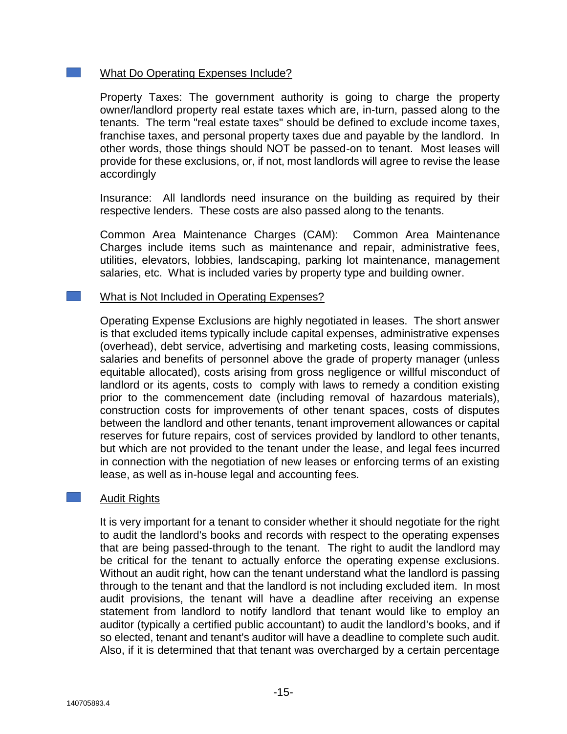#### What Do Operating Expenses Include?

Property Taxes: The government authority is going to charge the property owner/landlord property real estate taxes which are, in-turn, passed along to the tenants. The term "real estate taxes" should be defined to exclude income taxes, franchise taxes, and personal property taxes due and payable by the landlord. In other words, those things should NOT be passed-on to tenant. Most leases will provide for these exclusions, or, if not, most landlords will agree to revise the lease accordingly

Insurance: All landlords need insurance on the building as required by their respective lenders. These costs are also passed along to the tenants.

Common Area Maintenance Charges (CAM): Common Area Maintenance Charges include items such as maintenance and repair, administrative fees, utilities, elevators, lobbies, landscaping, parking lot maintenance, management salaries, etc. What is included varies by property type and building owner.

#### What is Not Included in Operating Expenses?

Operating Expense Exclusions are highly negotiated in leases. The short answer is that excluded items typically include capital expenses, administrative expenses (overhead), debt service, advertising and marketing costs, leasing commissions, salaries and benefits of personnel above the grade of property manager (unless equitable allocated), costs arising from gross negligence or willful misconduct of landlord or its agents, costs to comply with laws to remedy a condition existing prior to the commencement date (including removal of hazardous materials), construction costs for improvements of other tenant spaces, costs of disputes between the landlord and other tenants, tenant improvement allowances or capital reserves for future repairs, cost of services provided by landlord to other tenants, but which are not provided to the tenant under the lease, and legal fees incurred in connection with the negotiation of new leases or enforcing terms of an existing lease, as well as in-house legal and accounting fees.

#### Audit Rights

It is very important for a tenant to consider whether it should negotiate for the right to audit the landlord's books and records with respect to the operating expenses that are being passed-through to the tenant. The right to audit the landlord may be critical for the tenant to actually enforce the operating expense exclusions. Without an audit right, how can the tenant understand what the landlord is passing through to the tenant and that the landlord is not including excluded item. In most audit provisions, the tenant will have a deadline after receiving an expense statement from landlord to notify landlord that tenant would like to employ an auditor (typically a certified public accountant) to audit the landlord's books, and if so elected, tenant and tenant's auditor will have a deadline to complete such audit. Also, if it is determined that that tenant was overcharged by a certain percentage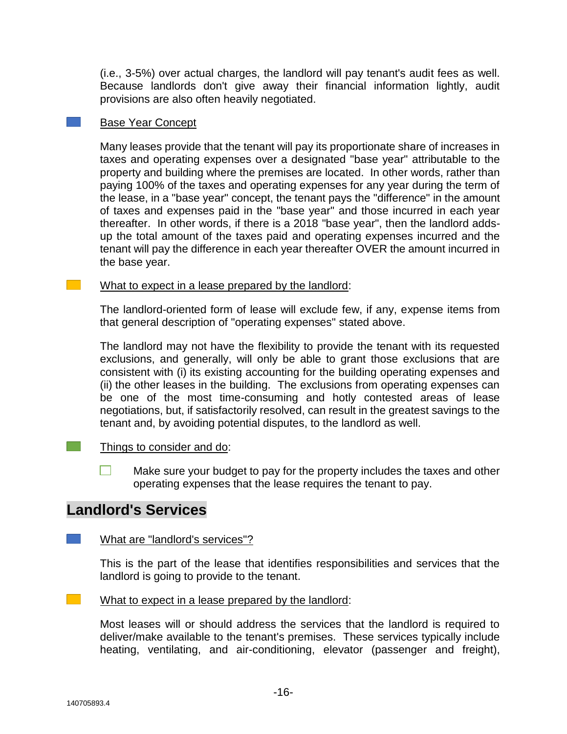(i.e., 3-5%) over actual charges, the landlord will pay tenant's audit fees as well. Because landlords don't give away their financial information lightly, audit provisions are also often heavily negotiated.

#### Base Year Concept

Many leases provide that the tenant will pay its proportionate share of increases in taxes and operating expenses over a designated "base year" attributable to the property and building where the premises are located. In other words, rather than paying 100% of the taxes and operating expenses for any year during the term of the lease, in a "base year" concept, the tenant pays the "difference" in the amount of taxes and expenses paid in the "base year" and those incurred in each year thereafter. In other words, if there is a 2018 "base year", then the landlord addsup the total amount of the taxes paid and operating expenses incurred and the tenant will pay the difference in each year thereafter OVER the amount incurred in the base year.

#### What to expect in a lease prepared by the landlord:

The landlord-oriented form of lease will exclude few, if any, expense items from that general description of "operating expenses" stated above.

The landlord may not have the flexibility to provide the tenant with its requested exclusions, and generally, will only be able to grant those exclusions that are consistent with (i) its existing accounting for the building operating expenses and (ii) the other leases in the building. The exclusions from operating expenses can be one of the most time-consuming and hotly contested areas of lease negotiations, but, if satisfactorily resolved, can result in the greatest savings to the tenant and, by avoiding potential disputes, to the landlord as well.

#### Things to consider and do:

 $\Box$ Make sure your budget to pay for the property includes the taxes and other operating expenses that the lease requires the tenant to pay.

## **Landlord's Services**

#### What are "landlord's services"?

This is the part of the lease that identifies responsibilities and services that the landlord is going to provide to the tenant.

#### $\sim 100$ What to expect in a lease prepared by the landlord:

Most leases will or should address the services that the landlord is required to deliver/make available to the tenant's premises. These services typically include heating, ventilating, and air-conditioning, elevator (passenger and freight),

 $\mathcal{L}^{\text{max}}$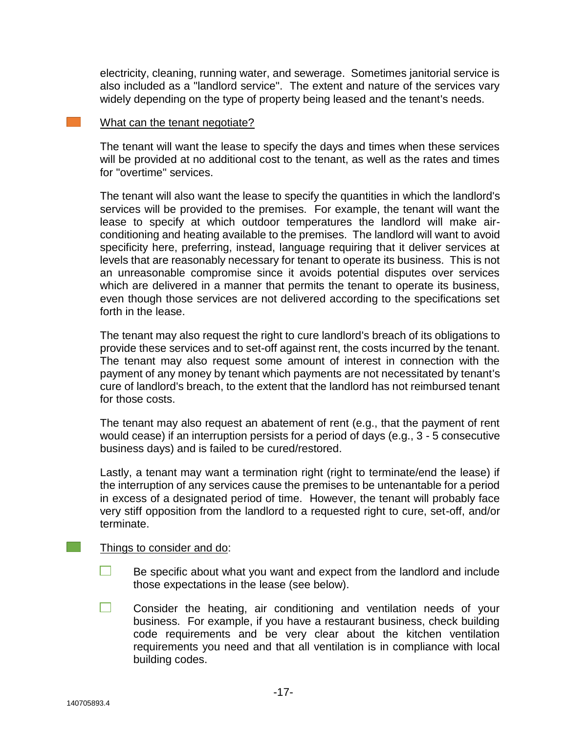electricity, cleaning, running water, and sewerage. Sometimes janitorial service is also included as a "landlord service". The extent and nature of the services vary widely depending on the type of property being leased and the tenant's needs.

#### What can the tenant negotiate?

The tenant will want the lease to specify the days and times when these services will be provided at no additional cost to the tenant, as well as the rates and times for "overtime" services.

The tenant will also want the lease to specify the quantities in which the landlord's services will be provided to the premises. For example, the tenant will want the lease to specify at which outdoor temperatures the landlord will make airconditioning and heating available to the premises. The landlord will want to avoid specificity here, preferring, instead, language requiring that it deliver services at levels that are reasonably necessary for tenant to operate its business. This is not an unreasonable compromise since it avoids potential disputes over services which are delivered in a manner that permits the tenant to operate its business, even though those services are not delivered according to the specifications set forth in the lease.

The tenant may also request the right to cure landlord's breach of its obligations to provide these services and to set-off against rent, the costs incurred by the tenant. The tenant may also request some amount of interest in connection with the payment of any money by tenant which payments are not necessitated by tenant's cure of landlord's breach, to the extent that the landlord has not reimbursed tenant for those costs.

The tenant may also request an abatement of rent (e.g., that the payment of rent would cease) if an interruption persists for a period of days (e.g., 3 - 5 consecutive business days) and is failed to be cured/restored.

Lastly, a tenant may want a termination right (right to terminate/end the lease) if the interruption of any services cause the premises to be untenantable for a period in excess of a designated period of time. However, the tenant will probably face very stiff opposition from the landlord to a requested right to cure, set-off, and/or terminate.

#### Things to consider and do:

 $\Box$ Be specific about what you want and expect from the landlord and include those expectations in the lease (see below).

 $\Box$ Consider the heating, air conditioning and ventilation needs of your business. For example, if you have a restaurant business, check building code requirements and be very clear about the kitchen ventilation requirements you need and that all ventilation is in compliance with local building codes.

 $\mathcal{L}(\mathcal{A})$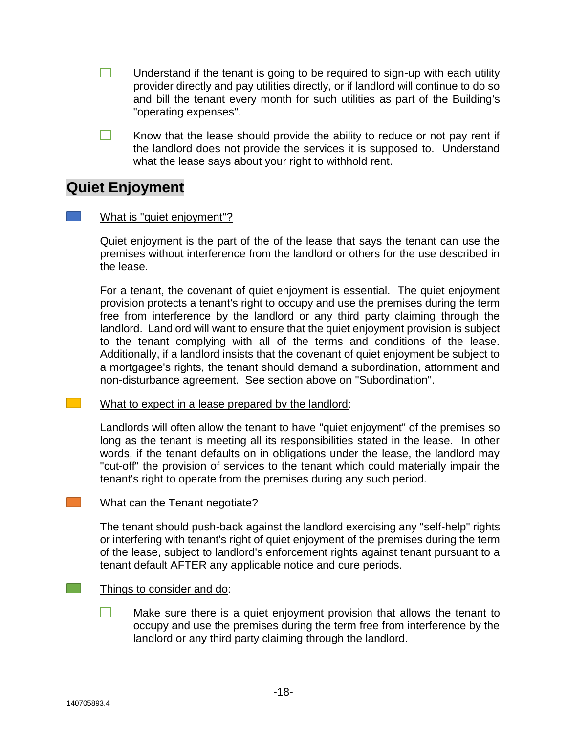- $\Box$ Understand if the tenant is going to be required to sign-up with each utility provider directly and pay utilities directly, or if landlord will continue to do so and bill the tenant every month for such utilities as part of the Building's "operating expenses".
- $\Box$ Know that the lease should provide the ability to reduce or not pay rent if the landlord does not provide the services it is supposed to. Understand what the lease says about your right to withhold rent.

# **Quiet Enjoyment**

#### What is "quiet enjoyment"?

Quiet enjoyment is the part of the of the lease that says the tenant can use the premises without interference from the landlord or others for the use described in the lease.

For a tenant, the covenant of quiet enjoyment is essential. The quiet enjoyment provision protects a tenant's right to occupy and use the premises during the term free from interference by the landlord or any third party claiming through the landlord. Landlord will want to ensure that the quiet enjoyment provision is subject to the tenant complying with all of the terms and conditions of the lease. Additionally, if a landlord insists that the covenant of quiet enjoyment be subject to a mortgagee's rights, the tenant should demand a subordination, attornment and non-disturbance agreement. See section above on "Subordination".

#### What to expect in a lease prepared by the landlord:

Landlords will often allow the tenant to have "quiet enjoyment" of the premises so long as the tenant is meeting all its responsibilities stated in the lease. In other words, if the tenant defaults on in obligations under the lease, the landlord may "cut-off" the provision of services to the tenant which could materially impair the tenant's right to operate from the premises during any such period.

#### What can the Tenant negotiate?

The tenant should push-back against the landlord exercising any "self-help" rights or interfering with tenant's right of quiet enjoyment of the premises during the term of the lease, subject to landlord's enforcement rights against tenant pursuant to a tenant default AFTER any applicable notice and cure periods.

#### Things to consider and do:

Make sure there is a quiet enjoyment provision that allows the tenant to occupy and use the premises during the term free from interference by the landlord or any third party claiming through the landlord.

 $\mathcal{L}^{\text{max}}_{\text{max}}$ 

 $\mathcal{L}^{\text{max}}$ 

 $\mathcal{L}(\mathcal{A})$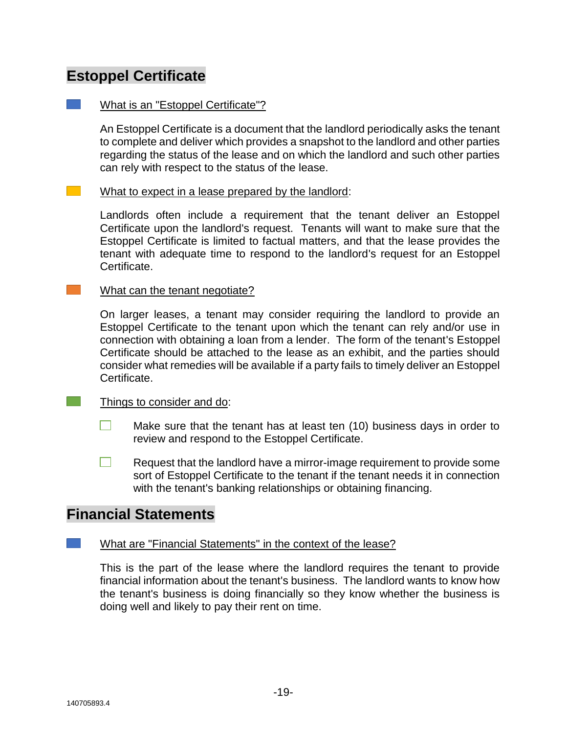# **Estoppel Certificate**

#### $\mathcal{L}^{\text{max}}_{\text{max}}$ What is an "Estoppel Certificate"?

An Estoppel Certificate is a document that the landlord periodically asks the tenant to complete and deliver which provides a snapshot to the landlord and other parties regarding the status of the lease and on which the landlord and such other parties can rely with respect to the status of the lease.

#### $\mathcal{L}^{\text{max}}_{\text{max}}$ What to expect in a lease prepared by the landlord:

Landlords often include a requirement that the tenant deliver an Estoppel Certificate upon the landlord's request. Tenants will want to make sure that the Estoppel Certificate is limited to factual matters, and that the lease provides the tenant with adequate time to respond to the landlord's request for an Estoppel Certificate.

### What can the tenant negotiate?

On larger leases, a tenant may consider requiring the landlord to provide an Estoppel Certificate to the tenant upon which the tenant can rely and/or use in connection with obtaining a loan from a lender. The form of the tenant's Estoppel Certificate should be attached to the lease as an exhibit, and the parties should consider what remedies will be available if a party fails to timely deliver an Estoppel Certificate.

### Things to consider and do:

- $\Box$ Make sure that the tenant has at least ten (10) business days in order to review and respond to the Estoppel Certificate.
- $\Box$ Request that the landlord have a mirror-image requirement to provide some sort of Estoppel Certificate to the tenant if the tenant needs it in connection with the tenant's banking relationships or obtaining financing.

# **Financial Statements**

### What are "Financial Statements" in the context of the lease?

This is the part of the lease where the landlord requires the tenant to provide financial information about the tenant's business. The landlord wants to know how the tenant's business is doing financially so they know whether the business is doing well and likely to pay their rent on time.

 $\mathcal{L}^{\text{max}}$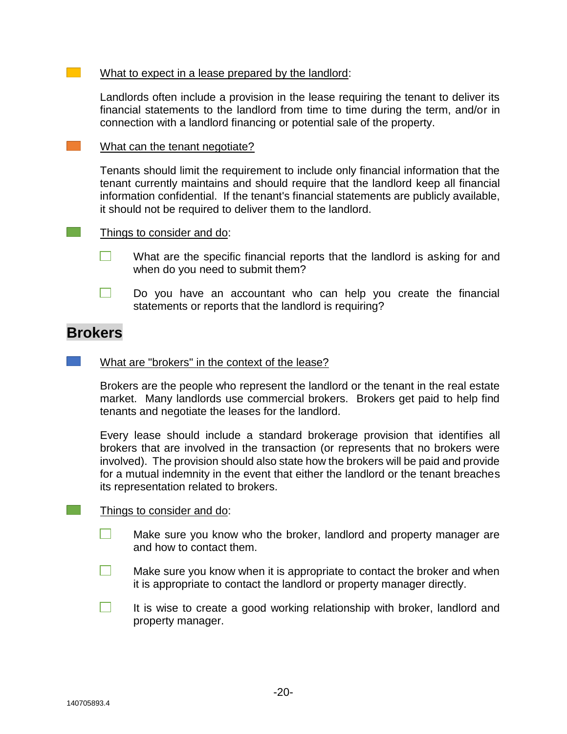#### What to expect in a lease prepared by the landlord:

Landlords often include a provision in the lease requiring the tenant to deliver its financial statements to the landlord from time to time during the term, and/or in connection with a landlord financing or potential sale of the property.

What can the tenant negotiate?

Tenants should limit the requirement to include only financial information that the tenant currently maintains and should require that the landlord keep all financial information confidential. If the tenant's financial statements are publicly available, it should not be required to deliver them to the landlord.

#### Things to consider and do:

- What are the specific financial reports that the landlord is asking for and  $\mathbf{1}$ when do you need to submit them?
- $\Box$ Do you have an accountant who can help you create the financial statements or reports that the landlord is requiring?

## **Brokers**

 $\mathcal{L}^{\text{max}}_{\text{max}}$ 

 $\mathcal{L}^{\text{max}}$ 

 $\mathcal{L}^{\text{max}}$ 

#### What are "brokers" in the context of the lease?

Brokers are the people who represent the landlord or the tenant in the real estate market. Many landlords use commercial brokers. Brokers get paid to help find tenants and negotiate the leases for the landlord.

Every lease should include a standard brokerage provision that identifies all brokers that are involved in the transaction (or represents that no brokers were involved). The provision should also state how the brokers will be paid and provide for a mutual indemnity in the event that either the landlord or the tenant breaches its representation related to brokers.

#### Things to consider and do:

- $\Box$ Make sure you know who the broker, landlord and property manager are and how to contact them.
- m. Make sure you know when it is appropriate to contact the broker and when it is appropriate to contact the landlord or property manager directly.
- $\Box$ It is wise to create a good working relationship with broker, landlord and property manager.

 $\mathbb{R}^n$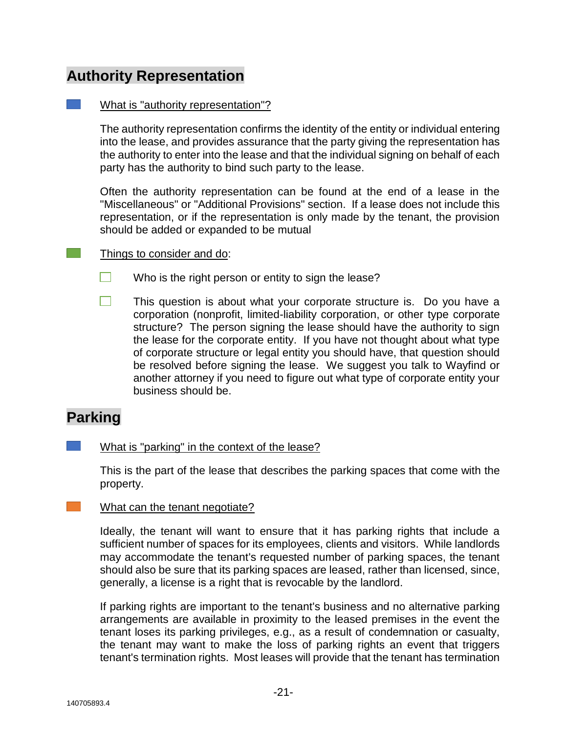# **Authority Representation**

#### What is "authority representation"?

The authority representation confirms the identity of the entity or individual entering into the lease, and provides assurance that the party giving the representation has the authority to enter into the lease and that the individual signing on behalf of each party has the authority to bind such party to the lease.

Often the authority representation can be found at the end of a lease in the "Miscellaneous" or "Additional Provisions" section. If a lease does not include this representation, or if the representation is only made by the tenant, the provision should be added or expanded to be mutual

#### Things to consider and do:

- $\Box$ Who is the right person or entity to sign the lease?
- $\Box$ This question is about what your corporate structure is. Do you have a corporation (nonprofit, limited-liability corporation, or other type corporate structure? The person signing the lease should have the authority to sign the lease for the corporate entity. If you have not thought about what type of corporate structure or legal entity you should have, that question should be resolved before signing the lease. We suggest you talk to Wayfind or another attorney if you need to figure out what type of corporate entity your business should be.

# **Parking**

 $\mathcal{L}^{\text{max}}$ 

What is "parking" in the context of the lease?

This is the part of the lease that describes the parking spaces that come with the property.

#### $\mathcal{L}^{\text{max}}_{\text{max}}$ What can the tenant negotiate?

Ideally, the tenant will want to ensure that it has parking rights that include a sufficient number of spaces for its employees, clients and visitors. While landlords may accommodate the tenant's requested number of parking spaces, the tenant should also be sure that its parking spaces are leased, rather than licensed, since, generally, a license is a right that is revocable by the landlord.

If parking rights are important to the tenant's business and no alternative parking arrangements are available in proximity to the leased premises in the event the tenant loses its parking privileges, e.g., as a result of condemnation or casualty, the tenant may want to make the loss of parking rights an event that triggers tenant's termination rights. Most leases will provide that the tenant has termination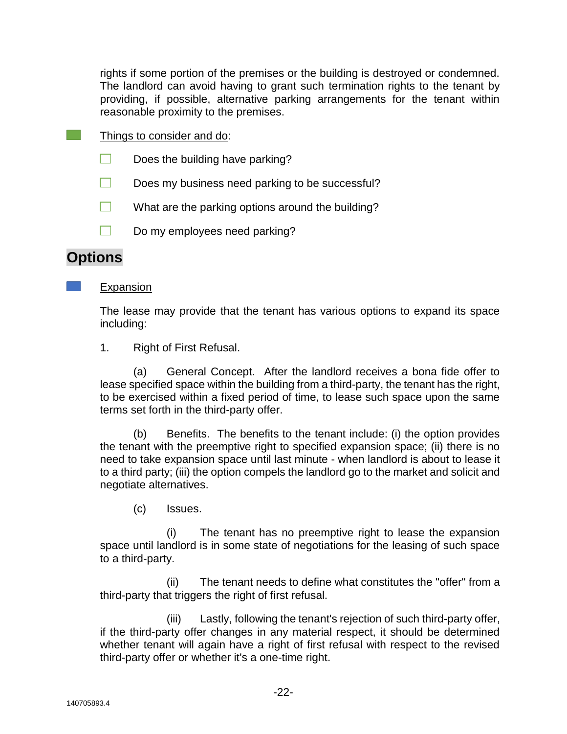rights if some portion of the premises or the building is destroyed or condemned. The landlord can avoid having to grant such termination rights to the tenant by providing, if possible, alternative parking arrangements for the tenant within reasonable proximity to the premises.

- $\mathcal{L}^{\text{max}}$ Things to consider and do:
	- $\Box$ Does the building have parking?
	- $\Box$ Does my business need parking to be successful?
	- $\Box$ What are the parking options around the building?
	- Do my employees need parking?

# **Options**

#### Expansion

The lease may provide that the tenant has various options to expand its space including:

1. Right of First Refusal.

(a) General Concept. After the landlord receives a bona fide offer to lease specified space within the building from a third-party, the tenant has the right, to be exercised within a fixed period of time, to lease such space upon the same terms set forth in the third-party offer.

(b) Benefits. The benefits to the tenant include: (i) the option provides the tenant with the preemptive right to specified expansion space; (ii) there is no need to take expansion space until last minute - when landlord is about to lease it to a third party; (iii) the option compels the landlord go to the market and solicit and negotiate alternatives.

(c) Issues.

(i) The tenant has no preemptive right to lease the expansion space until landlord is in some state of negotiations for the leasing of such space to a third-party.

(ii) The tenant needs to define what constitutes the "offer" from a third-party that triggers the right of first refusal.

(iii) Lastly, following the tenant's rejection of such third-party offer, if the third-party offer changes in any material respect, it should be determined whether tenant will again have a right of first refusal with respect to the revised third-party offer or whether it's a one-time right.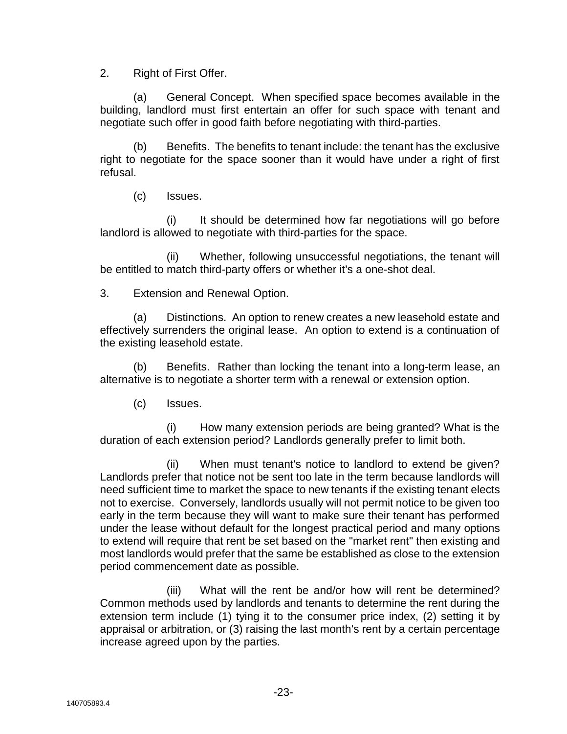2. Right of First Offer.

(a) General Concept. When specified space becomes available in the building, landlord must first entertain an offer for such space with tenant and negotiate such offer in good faith before negotiating with third-parties.

(b) Benefits. The benefits to tenant include: the tenant has the exclusive right to negotiate for the space sooner than it would have under a right of first refusal.

(c) Issues.

(i) It should be determined how far negotiations will go before landlord is allowed to negotiate with third-parties for the space.

(ii) Whether, following unsuccessful negotiations, the tenant will be entitled to match third-party offers or whether it's a one-shot deal.

3. Extension and Renewal Option.

(a) Distinctions. An option to renew creates a new leasehold estate and effectively surrenders the original lease. An option to extend is a continuation of the existing leasehold estate.

(b) Benefits. Rather than locking the tenant into a long-term lease, an alternative is to negotiate a shorter term with a renewal or extension option.

(c) Issues.

(i) How many extension periods are being granted? What is the duration of each extension period? Landlords generally prefer to limit both.

(ii) When must tenant's notice to landlord to extend be given? Landlords prefer that notice not be sent too late in the term because landlords will need sufficient time to market the space to new tenants if the existing tenant elects not to exercise. Conversely, landlords usually will not permit notice to be given too early in the term because they will want to make sure their tenant has performed under the lease without default for the longest practical period and many options to extend will require that rent be set based on the "market rent" then existing and most landlords would prefer that the same be established as close to the extension period commencement date as possible.

(iii) What will the rent be and/or how will rent be determined? Common methods used by landlords and tenants to determine the rent during the extension term include (1) tying it to the consumer price index, (2) setting it by appraisal or arbitration, or (3) raising the last month's rent by a certain percentage increase agreed upon by the parties.